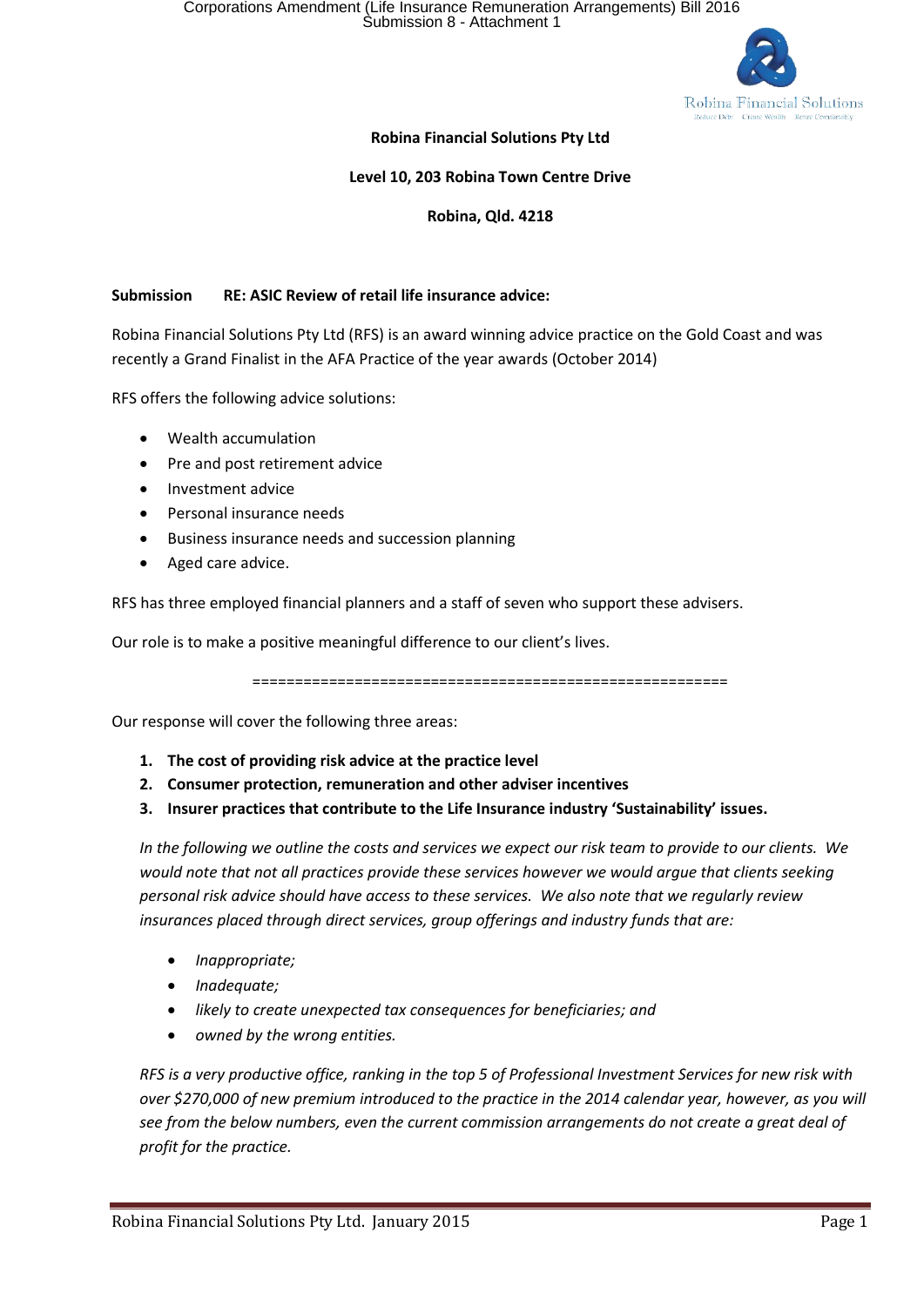

### **Robina Financial Solutions Pty Ltd**

#### **Level 10, 203 Robina Town Centre Drive**

#### **Robina, Qld. 4218**

#### **Submission RE: ASIC Review of retail life insurance advice:**

Robina Financial Solutions Pty Ltd (RFS) is an award winning advice practice on the Gold Coast and was recently a Grand Finalist in the AFA Practice of the year awards (October 2014)

RFS offers the following advice solutions:

- Wealth accumulation
- Pre and post retirement advice
- Investment advice
- Personal insurance needs
- Business insurance needs and succession planning
- Aged care advice.

RFS has three employed financial planners and a staff of seven who support these advisers.

Our role is to make a positive meaningful difference to our client's lives.

========================================================

Our response will cover the following three areas:

- **1. The cost of providing risk advice at the practice level**
- **2. Consumer protection, remuneration and other adviser incentives**
- **3. Insurer practices that contribute to the Life Insurance industry 'Sustainability' issues.**

*In the following we outline the costs and services we expect our risk team to provide to our clients. We would note that not all practices provide these services however we would argue that clients seeking personal risk advice should have access to these services. We also note that we regularly review insurances placed through direct services, group offerings and industry funds that are:*

- *Inappropriate;*
- *Inadequate;*
- *likely to create unexpected tax consequences for beneficiaries; and*
- *owned by the wrong entities.*

*RFS is a very productive office, ranking in the top 5 of Professional Investment Services for new risk with over \$270,000 of new premium introduced to the practice in the 2014 calendar year, however, as you will see from the below numbers, even the current commission arrangements do not create a great deal of profit for the practice.*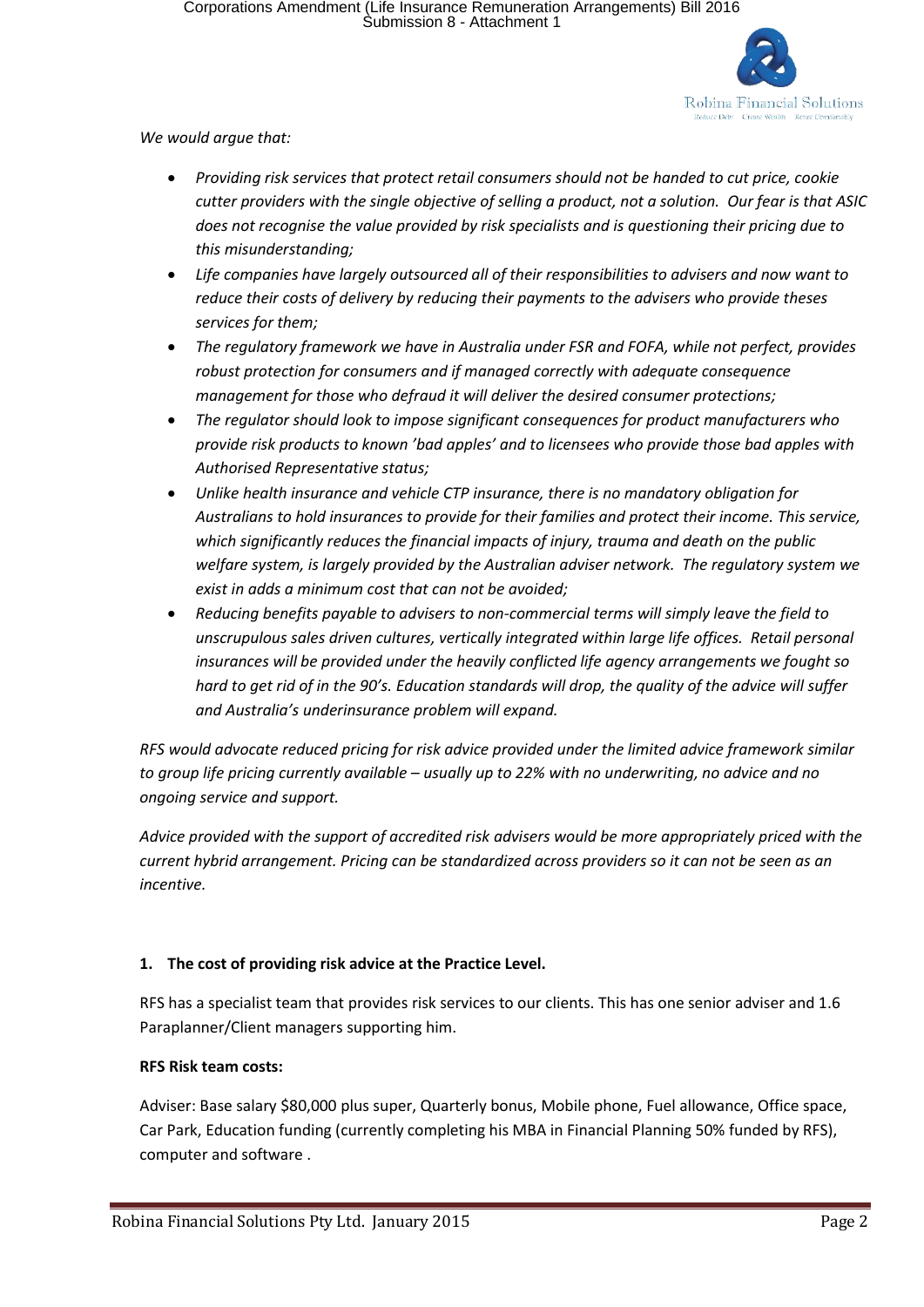

*We would argue that:*

- *Providing risk services that protect retail consumers should not be handed to cut price, cookie cutter providers with the single objective of selling a product, not a solution. Our fear is that ASIC does not recognise the value provided by risk specialists and is questioning their pricing due to this misunderstanding;*
- *Life companies have largely outsourced all of their responsibilities to advisers and now want to reduce their costs of delivery by reducing their payments to the advisers who provide theses services for them;*
- *The regulatory framework we have in Australia under FSR and FOFA, while not perfect, provides robust protection for consumers and if managed correctly with adequate consequence management for those who defraud it will deliver the desired consumer protections;*
- *The regulator should look to impose significant consequences for product manufacturers who provide risk products to known 'bad apples' and to licensees who provide those bad apples with Authorised Representative status;*
- *Unlike health insurance and vehicle CTP insurance, there is no mandatory obligation for Australians to hold insurances to provide for their families and protect their income. This service, which significantly reduces the financial impacts of injury, trauma and death on the public welfare system, is largely provided by the Australian adviser network. The regulatory system we exist in adds a minimum cost that can not be avoided;*
- *Reducing benefits payable to advisers to non-commercial terms will simply leave the field to unscrupulous sales driven cultures, vertically integrated within large life offices. Retail personal insurances will be provided under the heavily conflicted life agency arrangements we fought so hard to get rid of in the 90's. Education standards will drop, the quality of the advice will suffer and Australia's underinsurance problem will expand.*

*RFS would advocate reduced pricing for risk advice provided under the limited advice framework similar to group life pricing currently available – usually up to 22% with no underwriting, no advice and no ongoing service and support.*

*Advice provided with the support of accredited risk advisers would be more appropriately priced with the current hybrid arrangement. Pricing can be standardized across providers so it can not be seen as an incentive.*

# **1. The cost of providing risk advice at the Practice Level.**

RFS has a specialist team that provides risk services to our clients. This has one senior adviser and 1.6 Paraplanner/Client managers supporting him.

# **RFS Risk team costs:**

Adviser: Base salary \$80,000 plus super, Quarterly bonus, Mobile phone, Fuel allowance, Office space, Car Park, Education funding (currently completing his MBA in Financial Planning 50% funded by RFS), computer and software .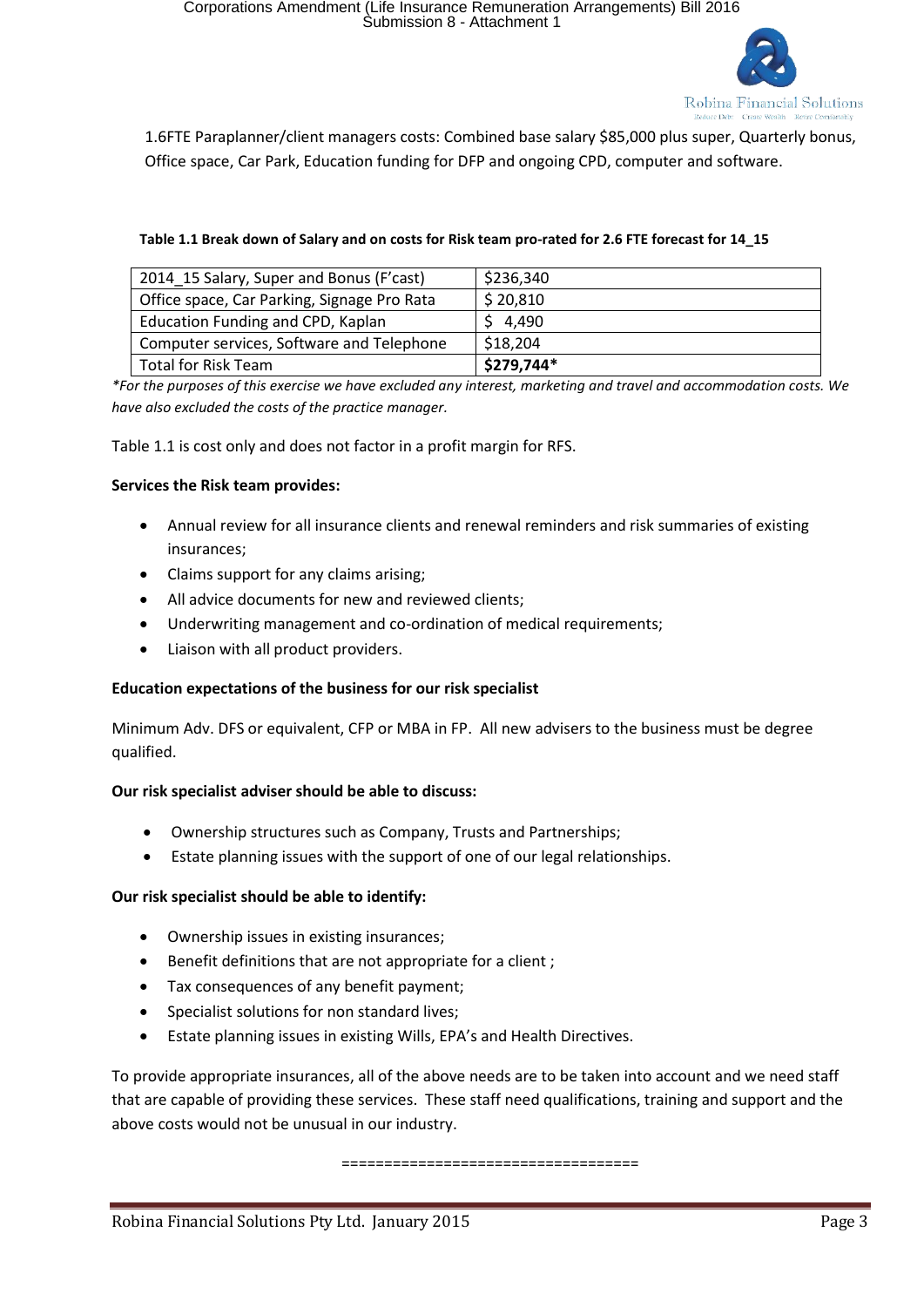

1.6FTE Paraplanner/client managers costs: Combined base salary \$85,000 plus super, Quarterly bonus, Office space, Car Park, Education funding for DFP and ongoing CPD, computer and software.

### **Table 1.1 Break down of Salary and on costs for Risk team pro-rated for 2.6 FTE forecast for 14\_15**

| 2014 15 Salary, Super and Bonus (F'cast)    | \$236,340  |
|---------------------------------------------|------------|
| Office space, Car Parking, Signage Pro Rata | \$20,810   |
| Education Funding and CPD, Kaplan           | \$4,490    |
| Computer services, Software and Telephone   | \$18,204   |
| Total for Risk Team                         | \$279,744* |

*\*For the purposes of this exercise we have excluded any interest, marketing and travel and accommodation costs. We have also excluded the costs of the practice manager.*

Table 1.1 is cost only and does not factor in a profit margin for RFS.

### **Services the Risk team provides:**

- Annual review for all insurance clients and renewal reminders and risk summaries of existing insurances;
- Claims support for any claims arising:
- All advice documents for new and reviewed clients;
- Underwriting management and co-ordination of medical requirements;
- Liaison with all product providers.

# **Education expectations of the business for our risk specialist**

Minimum Adv. DFS or equivalent, CFP or MBA in FP. All new advisers to the business must be degree qualified.

#### **Our risk specialist adviser should be able to discuss:**

- Ownership structures such as Company, Trusts and Partnerships;
- Estate planning issues with the support of one of our legal relationships.

#### **Our risk specialist should be able to identify:**

- Ownership issues in existing insurances;
- Benefit definitions that are not appropriate for a client ;
- Tax consequences of any benefit payment;
- Specialist solutions for non standard lives;
- Estate planning issues in existing Wills, EPA's and Health Directives.

To provide appropriate insurances, all of the above needs are to be taken into account and we need staff that are capable of providing these services. These staff need qualifications, training and support and the above costs would not be unusual in our industry.

===================================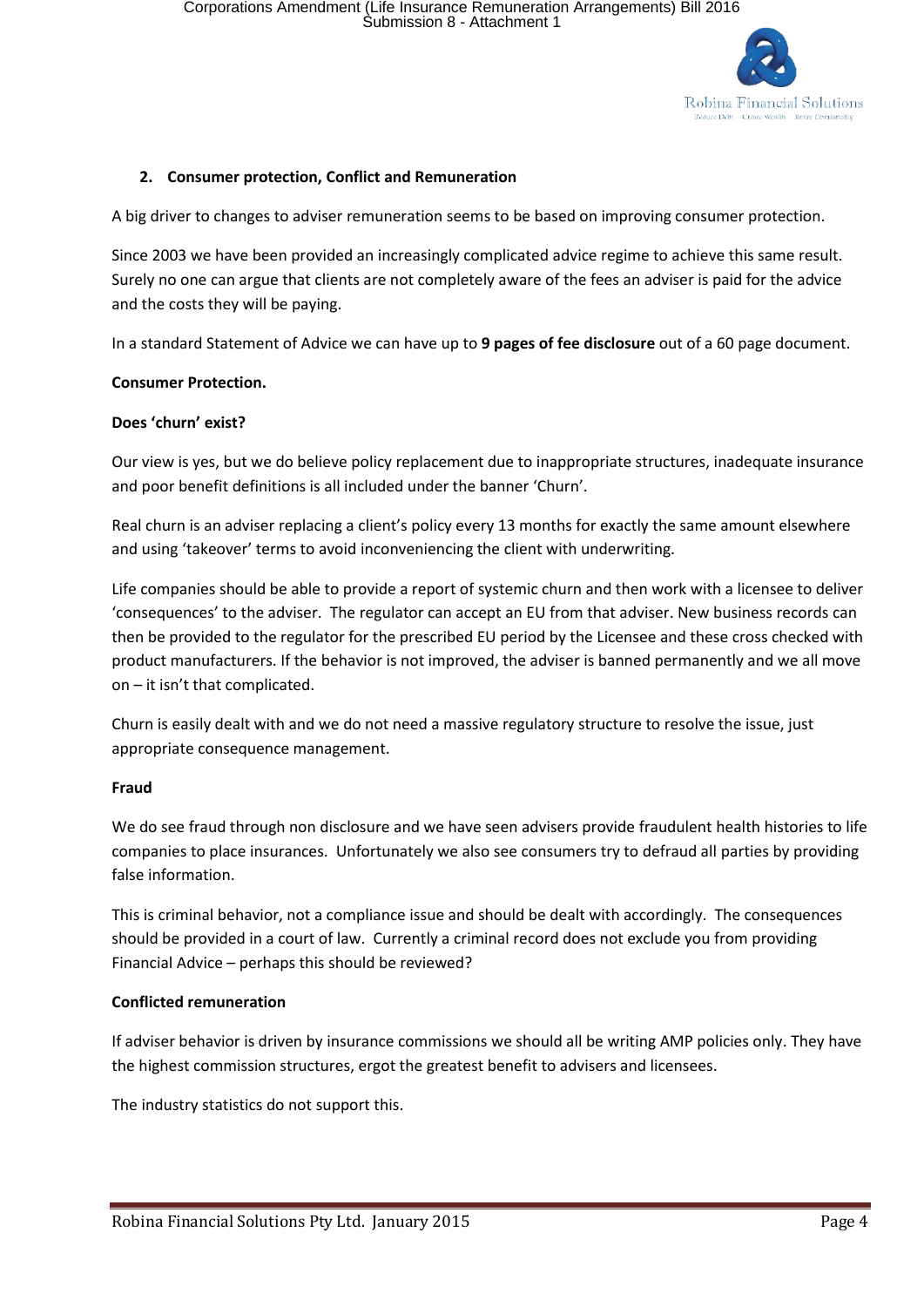

# **2. Consumer protection, Conflict and Remuneration**

A big driver to changes to adviser remuneration seems to be based on improving consumer protection.

Since 2003 we have been provided an increasingly complicated advice regime to achieve this same result. Surely no one can argue that clients are not completely aware of the fees an adviser is paid for the advice and the costs they will be paying.

In a standard Statement of Advice we can have up to **9 pages of fee disclosure** out of a 60 page document.

#### **Consumer Protection.**

#### **Does 'churn' exist?**

Our view is yes, but we do believe policy replacement due to inappropriate structures, inadequate insurance and poor benefit definitions is all included under the banner 'Churn'.

Real churn is an adviser replacing a client's policy every 13 months for exactly the same amount elsewhere and using 'takeover' terms to avoid inconveniencing the client with underwriting.

Life companies should be able to provide a report of systemic churn and then work with a licensee to deliver 'consequences' to the adviser. The regulator can accept an EU from that adviser. New business records can then be provided to the regulator for the prescribed EU period by the Licensee and these cross checked with product manufacturers. If the behavior is not improved, the adviser is banned permanently and we all move on – it isn't that complicated.

Churn is easily dealt with and we do not need a massive regulatory structure to resolve the issue, just appropriate consequence management.

#### **Fraud**

We do see fraud through non disclosure and we have seen advisers provide fraudulent health histories to life companies to place insurances. Unfortunately we also see consumers try to defraud all parties by providing false information.

This is criminal behavior, not a compliance issue and should be dealt with accordingly. The consequences should be provided in a court of law. Currently a criminal record does not exclude you from providing Financial Advice – perhaps this should be reviewed?

#### **Conflicted remuneration**

If adviser behavior is driven by insurance commissions we should all be writing AMP policies only. They have the highest commission structures, ergot the greatest benefit to advisers and licensees.

The industry statistics do not support this.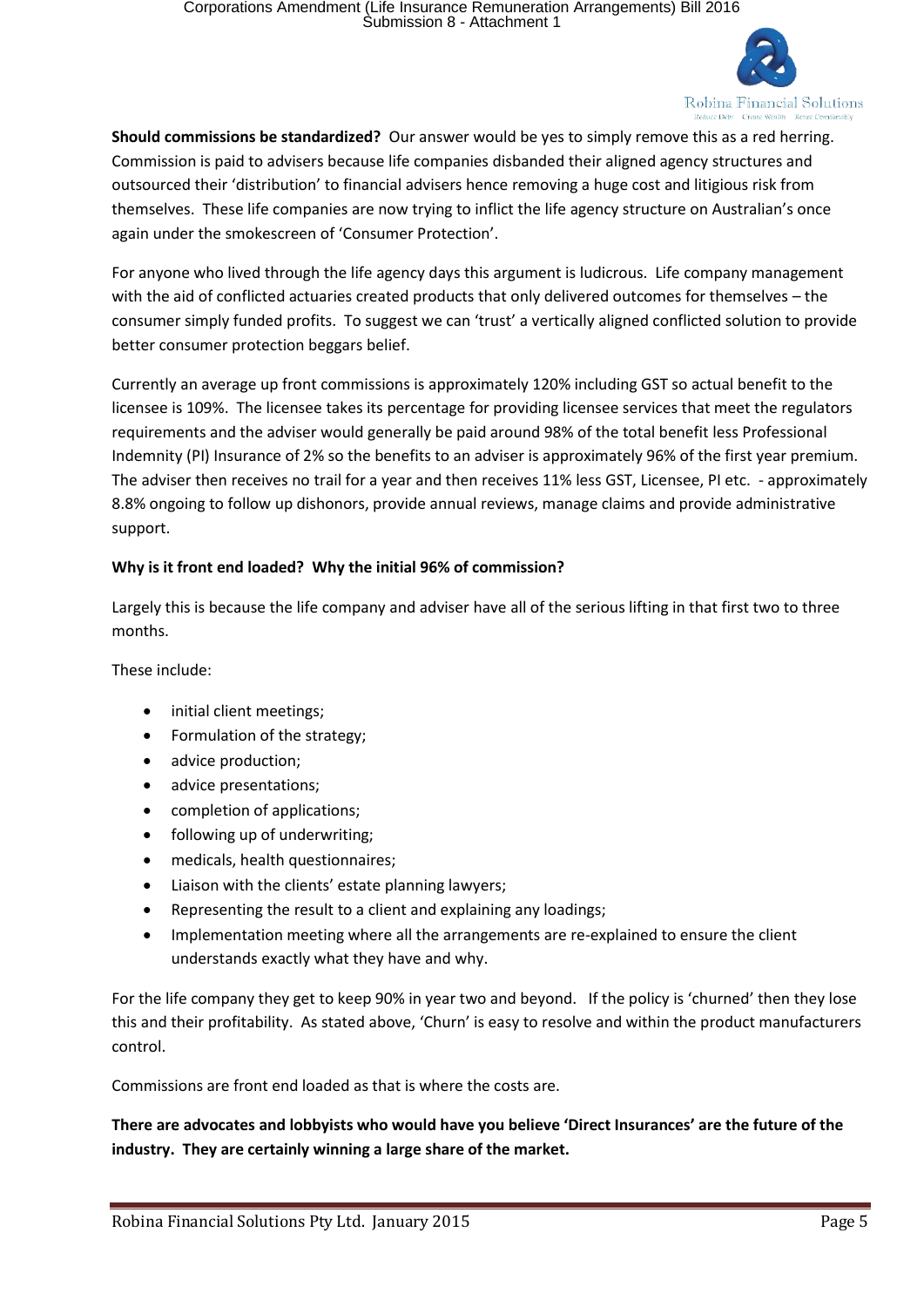

**Should commissions be standardized?** Our answer would be yes to simply remove this as a red herring. Commission is paid to advisers because life companies disbanded their aligned agency structures and outsourced their 'distribution' to financial advisers hence removing a huge cost and litigious risk from themselves. These life companies are now trying to inflict the life agency structure on Australian's once again under the smokescreen of 'Consumer Protection'.

For anyone who lived through the life agency days this argument is ludicrous. Life company management with the aid of conflicted actuaries created products that only delivered outcomes for themselves – the consumer simply funded profits. To suggest we can 'trust' a vertically aligned conflicted solution to provide better consumer protection beggars belief.

Currently an average up front commissions is approximately 120% including GST so actual benefit to the licensee is 109%. The licensee takes its percentage for providing licensee services that meet the regulators requirements and the adviser would generally be paid around 98% of the total benefit less Professional Indemnity (PI) Insurance of 2% so the benefits to an adviser is approximately 96% of the first year premium. The adviser then receives no trail for a year and then receives 11% less GST, Licensee, PI etc. - approximately 8.8% ongoing to follow up dishonors, provide annual reviews, manage claims and provide administrative support.

# **Why is it front end loaded? Why the initial 96% of commission?**

Largely this is because the life company and adviser have all of the serious lifting in that first two to three months.

These include:

- initial client meetings;
- Formulation of the strategy;
- advice production:
- advice presentations;
- completion of applications;
- following up of underwriting;
- medicals, health questionnaires;
- Liaison with the clients' estate planning lawyers;
- Representing the result to a client and explaining any loadings;
- Implementation meeting where all the arrangements are re-explained to ensure the client understands exactly what they have and why.

For the life company they get to keep 90% in year two and beyond. If the policy is 'churned' then they lose this and their profitability. As stated above, 'Churn' is easy to resolve and within the product manufacturers control.

Commissions are front end loaded as that is where the costs are.

**There are advocates and lobbyists who would have you believe 'Direct Insurances' are the future of the industry. They are certainly winning a large share of the market.**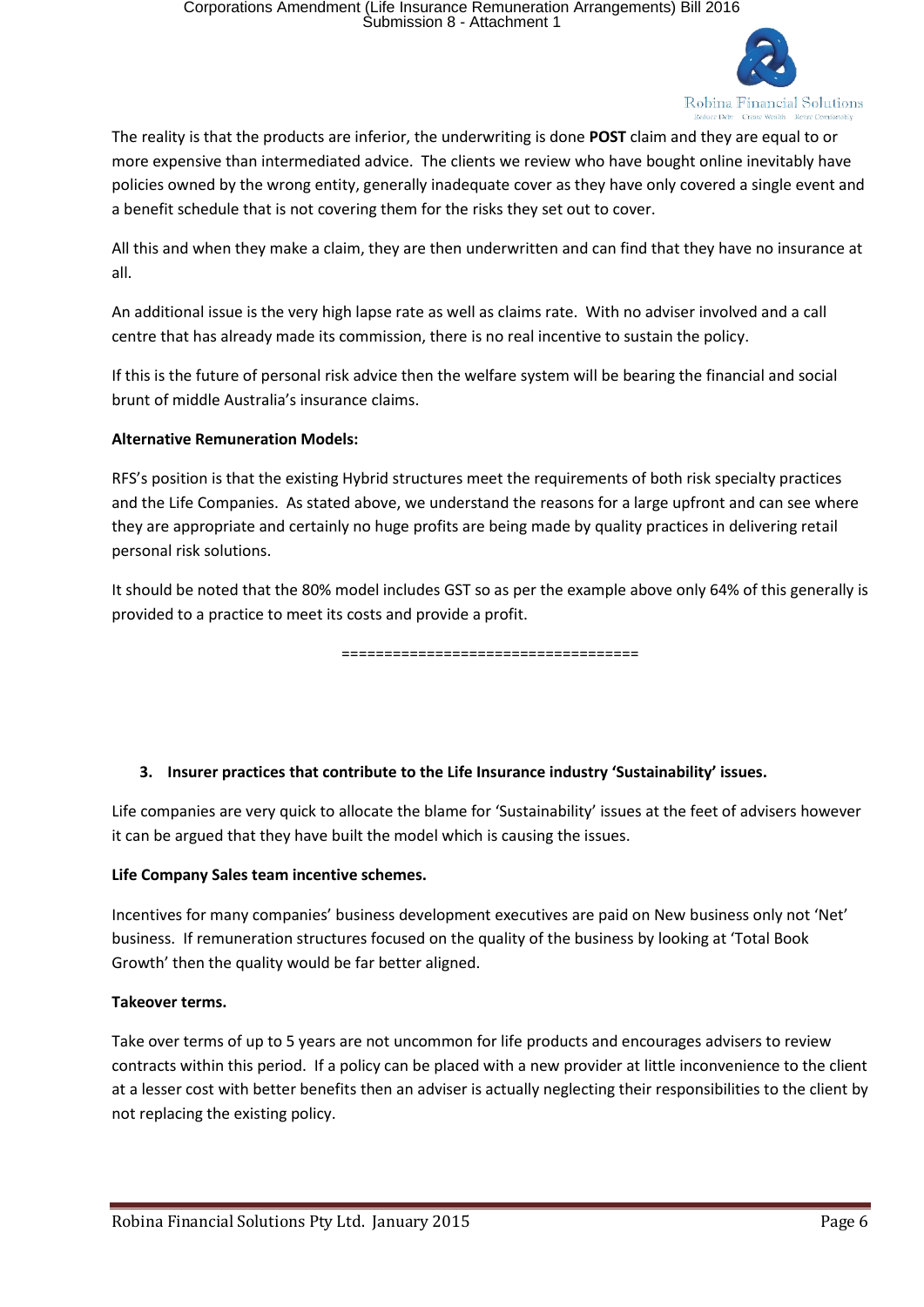

The reality is that the products are inferior, the underwriting is done **POST** claim and they are equal to or more expensive than intermediated advice. The clients we review who have bought online inevitably have policies owned by the wrong entity, generally inadequate cover as they have only covered a single event and a benefit schedule that is not covering them for the risks they set out to cover.

All this and when they make a claim, they are then underwritten and can find that they have no insurance at all.

An additional issue is the very high lapse rate as well as claims rate. With no adviser involved and a call centre that has already made its commission, there is no real incentive to sustain the policy.

If this is the future of personal risk advice then the welfare system will be bearing the financial and social brunt of middle Australia's insurance claims.

# **Alternative Remuneration Models:**

RFS's position is that the existing Hybrid structures meet the requirements of both risk specialty practices and the Life Companies. As stated above, we understand the reasons for a large upfront and can see where they are appropriate and certainly no huge profits are being made by quality practices in delivering retail personal risk solutions.

It should be noted that the 80% model includes GST so as per the example above only 64% of this generally is provided to a practice to meet its costs and provide a profit.

===================================

# **3. Insurer practices that contribute to the Life Insurance industry 'Sustainability' issues.**

Life companies are very quick to allocate the blame for 'Sustainability' issues at the feet of advisers however it can be argued that they have built the model which is causing the issues.

# **Life Company Sales team incentive schemes.**

Incentives for many companies' business development executives are paid on New business only not 'Net' business. If remuneration structures focused on the quality of the business by looking at 'Total Book Growth' then the quality would be far better aligned.

# **Takeover terms.**

Take over terms of up to 5 years are not uncommon for life products and encourages advisers to review contracts within this period. If a policy can be placed with a new provider at little inconvenience to the client at a lesser cost with better benefits then an adviser is actually neglecting their responsibilities to the client by not replacing the existing policy.